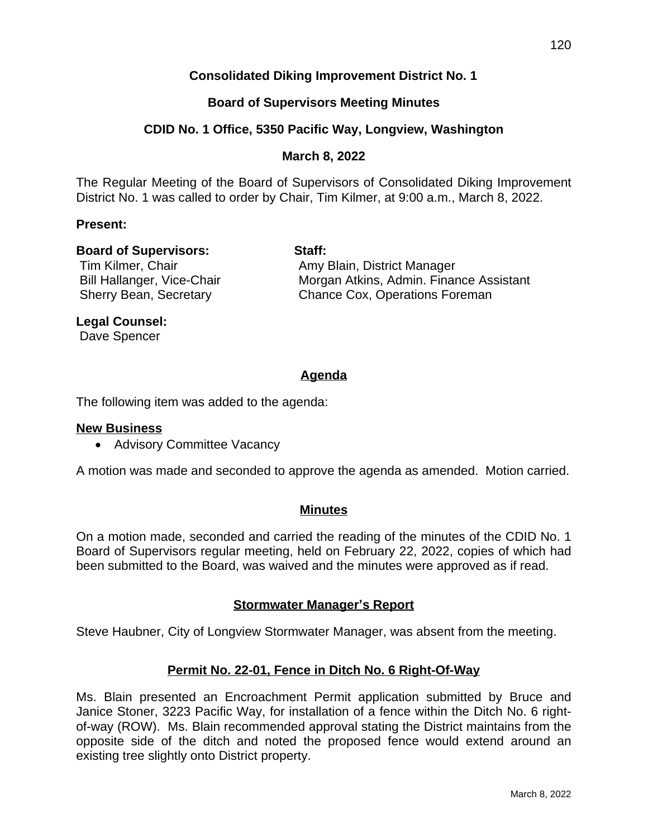# **Consolidated Diking Improvement District No. 1**

# **Board of Supervisors Meeting Minutes**

# **CDID No. 1 Office, 5350 Pacific Way, Longview, Washington**

### **March 8, 2022**

The Regular Meeting of the Board of Supervisors of Consolidated Diking Improvement District No. 1 was called to order by Chair, Tim Kilmer, at 9:00 a.m., March 8, 2022.

#### **Present:**

#### **Board of Supervisors: Staff:**

Tim Kilmer, Chair **Amy Blain, District Manager** Bill Hallanger, Vice-Chair **Morgan Atkins, Admin. Finance Assistant** Sherry Bean, Secretary **Chance Cox, Operations Foreman** 

### **Legal Counsel:**

Dave Spencer

# **Agenda**

The following item was added to the agenda:

#### **New Business**

• Advisory Committee Vacancy

A motion was made and seconded to approve the agenda as amended. Motion carried.

#### **Minutes**

On a motion made, seconded and carried the reading of the minutes of the CDID No. 1 Board of Supervisors regular meeting, held on February 22, 2022, copies of which had been submitted to the Board, was waived and the minutes were approved as if read.

# **Stormwater Manager's Report**

Steve Haubner, City of Longview Stormwater Manager, was absent from the meeting.

# **Permit No. 22-01, Fence in Ditch No. 6 Right-Of-Way**

Ms. Blain presented an Encroachment Permit application submitted by Bruce and Janice Stoner, 3223 Pacific Way, for installation of a fence within the Ditch No. 6 rightof-way (ROW). Ms. Blain recommended approval stating the District maintains from the opposite side of the ditch and noted the proposed fence would extend around an existing tree slightly onto District property.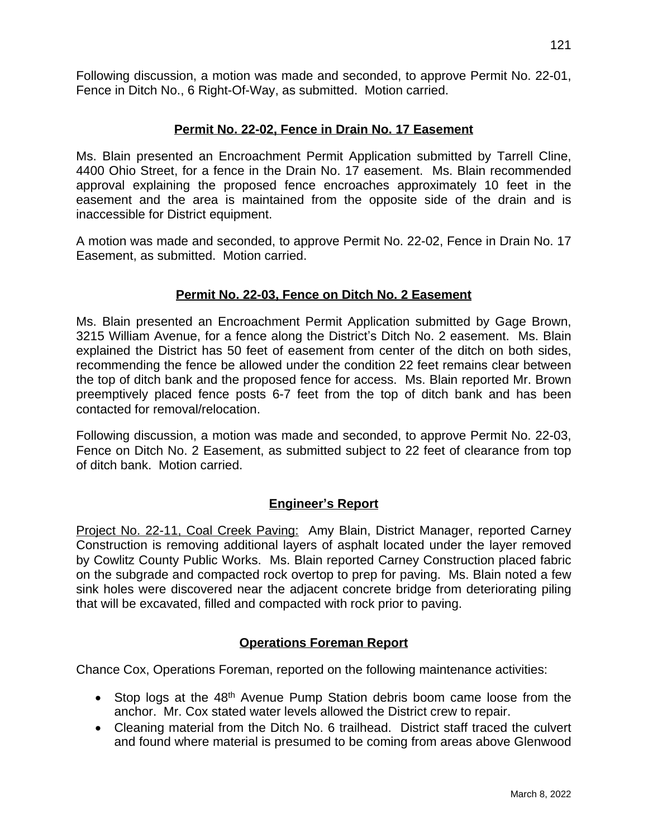# **Permit No. 22-02, Fence in Drain No. 17 Easement**

Ms. Blain presented an Encroachment Permit Application submitted by Tarrell Cline, 4400 Ohio Street, for a fence in the Drain No. 17 easement. Ms. Blain recommended approval explaining the proposed fence encroaches approximately 10 feet in the easement and the area is maintained from the opposite side of the drain and is inaccessible for District equipment.

A motion was made and seconded, to approve Permit No. 22-02, Fence in Drain No. 17 Easement, as submitted. Motion carried.

# **Permit No. 22-03, Fence on Ditch No. 2 Easement**

Ms. Blain presented an Encroachment Permit Application submitted by Gage Brown, 3215 William Avenue, for a fence along the District's Ditch No. 2 easement. Ms. Blain explained the District has 50 feet of easement from center of the ditch on both sides, recommending the fence be allowed under the condition 22 feet remains clear between the top of ditch bank and the proposed fence for access. Ms. Blain reported Mr. Brown preemptively placed fence posts 6-7 feet from the top of ditch bank and has been contacted for removal/relocation.

Following discussion, a motion was made and seconded, to approve Permit No. 22-03, Fence on Ditch No. 2 Easement, as submitted subject to 22 feet of clearance from top of ditch bank. Motion carried.

# **Engineer's Report**

Project No. 22-11, Coal Creek Paving: Amy Blain, District Manager, reported Carney Construction is removing additional layers of asphalt located under the layer removed by Cowlitz County Public Works. Ms. Blain reported Carney Construction placed fabric on the subgrade and compacted rock overtop to prep for paving. Ms. Blain noted a few sink holes were discovered near the adjacent concrete bridge from deteriorating piling that will be excavated, filled and compacted with rock prior to paving.

# **Operations Foreman Report**

Chance Cox, Operations Foreman, reported on the following maintenance activities:

- Stop logs at the 48<sup>th</sup> Avenue Pump Station debris boom came loose from the anchor. Mr. Cox stated water levels allowed the District crew to repair.
- Cleaning material from the Ditch No. 6 trailhead. District staff traced the culvert and found where material is presumed to be coming from areas above Glenwood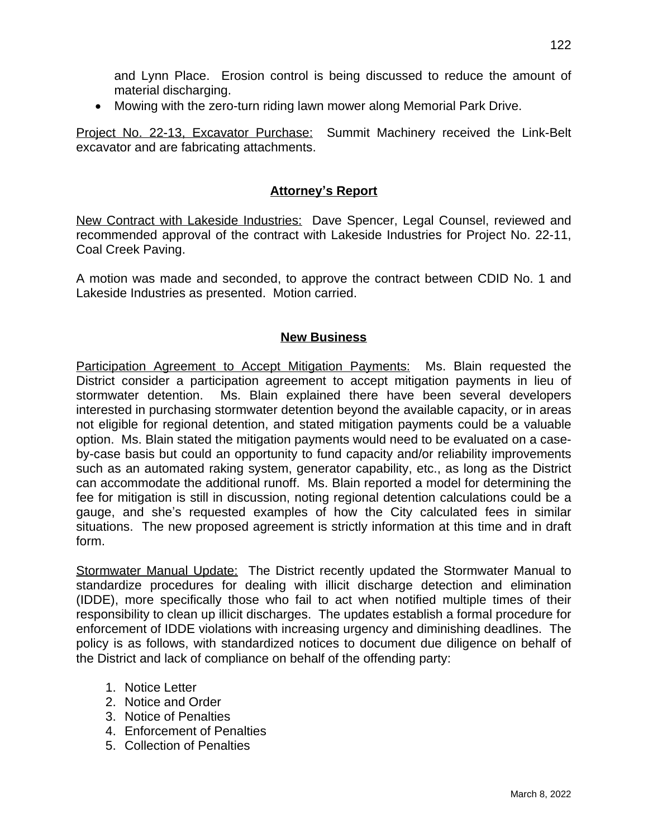and Lynn Place. Erosion control is being discussed to reduce the amount of material discharging.

Mowing with the zero-turn riding lawn mower along Memorial Park Drive.

Project No. 22-13, Excavator Purchase: Summit Machinery received the Link-Belt excavator and are fabricating attachments.

# **Attorney's Report**

New Contract with Lakeside Industries: Dave Spencer, Legal Counsel, reviewed and recommended approval of the contract with Lakeside Industries for Project No. 22-11, Coal Creek Paving.

A motion was made and seconded, to approve the contract between CDID No. 1 and Lakeside Industries as presented. Motion carried.

### **New Business**

Participation Agreement to Accept Mitigation Payments: Ms. Blain requested the District consider a participation agreement to accept mitigation payments in lieu of stormwater detention. Ms. Blain explained there have been several developers interested in purchasing stormwater detention beyond the available capacity, or in areas not eligible for regional detention, and stated mitigation payments could be a valuable option. Ms. Blain stated the mitigation payments would need to be evaluated on a caseby-case basis but could an opportunity to fund capacity and/or reliability improvements such as an automated raking system, generator capability, etc., as long as the District can accommodate the additional runoff. Ms. Blain reported a model for determining the fee for mitigation is still in discussion, noting regional detention calculations could be a gauge, and she's requested examples of how the City calculated fees in similar situations. The new proposed agreement is strictly information at this time and in draft form.

Stormwater Manual Update: The District recently updated the Stormwater Manual to standardize procedures for dealing with illicit discharge detection and elimination (IDDE), more specifically those who fail to act when notified multiple times of their responsibility to clean up illicit discharges. The updates establish a formal procedure for enforcement of IDDE violations with increasing urgency and diminishing deadlines. The policy is as follows, with standardized notices to document due diligence on behalf of the District and lack of compliance on behalf of the offending party:

- 1. Notice Letter
- 2. Notice and Order
- 3. Notice of Penalties
- 4. Enforcement of Penalties
- 5. Collection of Penalties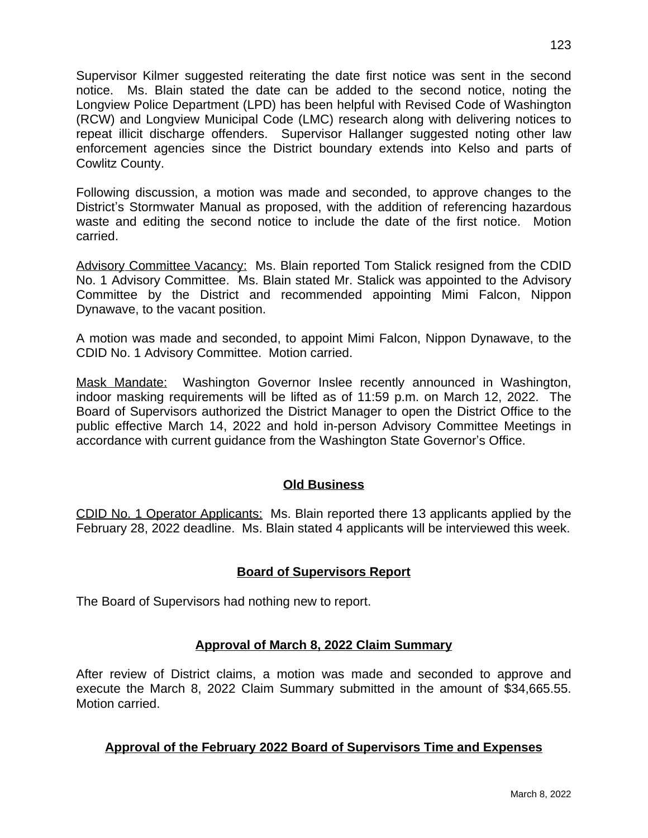Supervisor Kilmer suggested reiterating the date first notice was sent in the second notice. Ms. Blain stated the date can be added to the second notice, noting the Longview Police Department (LPD) has been helpful with Revised Code of Washington (RCW) and Longview Municipal Code (LMC) research along with delivering notices to repeat illicit discharge offenders. Supervisor Hallanger suggested noting other law enforcement agencies since the District boundary extends into Kelso and parts of Cowlitz County.

Following discussion, a motion was made and seconded, to approve changes to the District's Stormwater Manual as proposed, with the addition of referencing hazardous waste and editing the second notice to include the date of the first notice. Motion carried.

Advisory Committee Vacancy: Ms. Blain reported Tom Stalick resigned from the CDID No. 1 Advisory Committee. Ms. Blain stated Mr. Stalick was appointed to the Advisory Committee by the District and recommended appointing Mimi Falcon, Nippon Dynawave, to the vacant position.

A motion was made and seconded, to appoint Mimi Falcon, Nippon Dynawave, to the CDID No. 1 Advisory Committee. Motion carried.

Mask Mandate: Washington Governor Inslee recently announced in Washington, indoor masking requirements will be lifted as of 11:59 p.m. on March 12, 2022. The Board of Supervisors authorized the District Manager to open the District Office to the public effective March 14, 2022 and hold in-person Advisory Committee Meetings in accordance with current guidance from the Washington State Governor's Office.

# **Old Business**

CDID No. 1 Operator Applicants: Ms. Blain reported there 13 applicants applied by the February 28, 2022 deadline. Ms. Blain stated 4 applicants will be interviewed this week.

# **Board of Supervisors Report**

The Board of Supervisors had nothing new to report.

# **Approval of March 8, 2022 Claim Summary**

After review of District claims, a motion was made and seconded to approve and execute the March 8, 2022 Claim Summary submitted in the amount of \$34,665.55. Motion carried.

# **Approval of the February 2022 Board of Supervisors Time and Expenses**